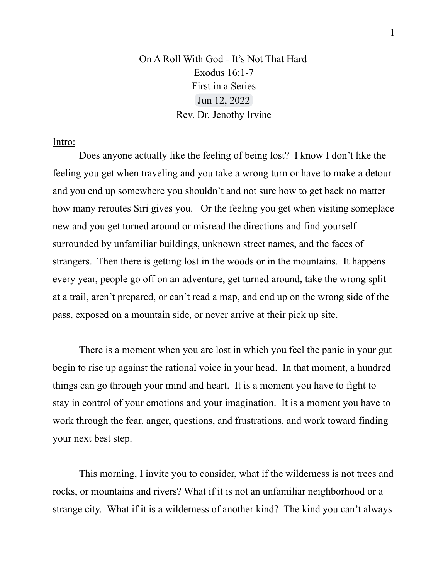## On A Roll With God - It's Not That Hard Exodus 16:1-7 First in a Series Jun 12, 2022 Rev. Dr. Jenothy Irvine

## Intro:

Does anyone actually like the feeling of being lost? I know I don't like the feeling you get when traveling and you take a wrong turn or have to make a detour and you end up somewhere you shouldn't and not sure how to get back no matter how many reroutes Siri gives you. Or the feeling you get when visiting someplace new and you get turned around or misread the directions and find yourself surrounded by unfamiliar buildings, unknown street names, and the faces of strangers. Then there is getting lost in the woods or in the mountains. It happens every year, people go off on an adventure, get turned around, take the wrong split at a trail, aren't prepared, or can't read a map, and end up on the wrong side of the pass, exposed on a mountain side, or never arrive at their pick up site.

There is a moment when you are lost in which you feel the panic in your gut begin to rise up against the rational voice in your head. In that moment, a hundred things can go through your mind and heart. It is a moment you have to fight to stay in control of your emotions and your imagination. It is a moment you have to work through the fear, anger, questions, and frustrations, and work toward finding your next best step.

This morning, I invite you to consider, what if the wilderness is not trees and rocks, or mountains and rivers? What if it is not an unfamiliar neighborhood or a strange city. What if it is a wilderness of another kind? The kind you can't always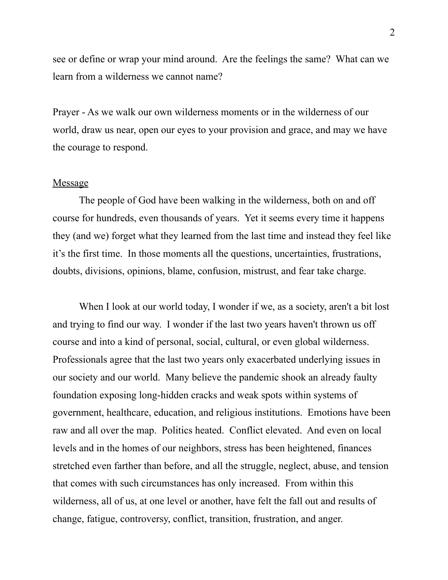see or define or wrap your mind around. Are the feelings the same? What can we learn from a wilderness we cannot name?

Prayer - As we walk our own wilderness moments or in the wilderness of our world, draw us near, open our eyes to your provision and grace, and may we have the courage to respond.

## Message

The people of God have been walking in the wilderness, both on and off course for hundreds, even thousands of years. Yet it seems every time it happens they (and we) forget what they learned from the last time and instead they feel like it's the first time. In those moments all the questions, uncertainties, frustrations, doubts, divisions, opinions, blame, confusion, mistrust, and fear take charge.

When I look at our world today, I wonder if we, as a society, aren't a bit lost and trying to find our way. I wonder if the last two years haven't thrown us off course and into a kind of personal, social, cultural, or even global wilderness. Professionals agree that the last two years only exacerbated underlying issues in our society and our world. Many believe the pandemic shook an already faulty foundation exposing long-hidden cracks and weak spots within systems of government, healthcare, education, and religious institutions. Emotions have been raw and all over the map. Politics heated. Conflict elevated. And even on local levels and in the homes of our neighbors, stress has been heightened, finances stretched even farther than before, and all the struggle, neglect, abuse, and tension that comes with such circumstances has only increased. From within this wilderness, all of us, at one level or another, have felt the fall out and results of change, fatigue, controversy, conflict, transition, frustration, and anger.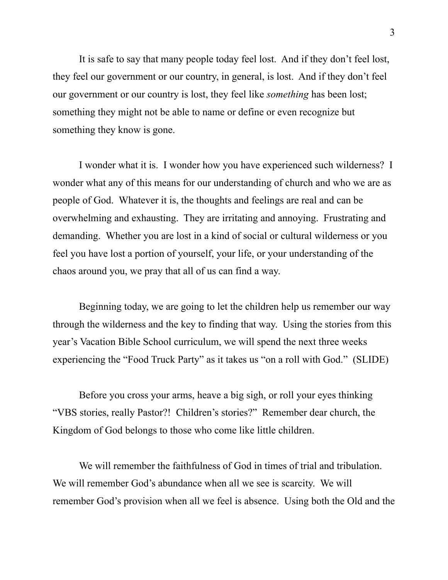It is safe to say that many people today feel lost. And if they don't feel lost, they feel our government or our country, in general, is lost. And if they don't feel our government or our country is lost, they feel like *something* has been lost; something they might not be able to name or define or even recognize but something they know is gone.

I wonder what it is. I wonder how you have experienced such wilderness? I wonder what any of this means for our understanding of church and who we are as people of God. Whatever it is, the thoughts and feelings are real and can be overwhelming and exhausting. They are irritating and annoying. Frustrating and demanding. Whether you are lost in a kind of social or cultural wilderness or you feel you have lost a portion of yourself, your life, or your understanding of the chaos around you, we pray that all of us can find a way.

Beginning today, we are going to let the children help us remember our way through the wilderness and the key to finding that way. Using the stories from this year's Vacation Bible School curriculum, we will spend the next three weeks experiencing the "Food Truck Party" as it takes us "on a roll with God." (SLIDE)

Before you cross your arms, heave a big sigh, or roll your eyes thinking "VBS stories, really Pastor?! Children's stories?" Remember dear church, the Kingdom of God belongs to those who come like little children.

We will remember the faithfulness of God in times of trial and tribulation. We will remember God's abundance when all we see is scarcity. We will remember God's provision when all we feel is absence. Using both the Old and the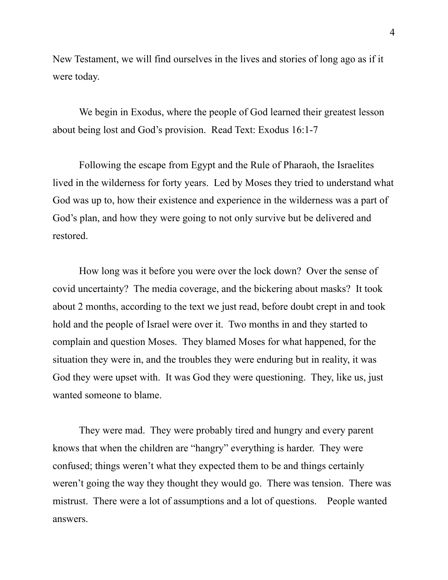New Testament, we will find ourselves in the lives and stories of long ago as if it were today.

We begin in Exodus, where the people of God learned their greatest lesson about being lost and God's provision. Read Text: Exodus 16:1-7

Following the escape from Egypt and the Rule of Pharaoh, the Israelites lived in the wilderness for forty years. Led by Moses they tried to understand what God was up to, how their existence and experience in the wilderness was a part of God's plan, and how they were going to not only survive but be delivered and restored.

How long was it before you were over the lock down? Over the sense of covid uncertainty? The media coverage, and the bickering about masks? It took about 2 months, according to the text we just read, before doubt crept in and took hold and the people of Israel were over it. Two months in and they started to complain and question Moses. They blamed Moses for what happened, for the situation they were in, and the troubles they were enduring but in reality, it was God they were upset with. It was God they were questioning. They, like us, just wanted someone to blame.

They were mad. They were probably tired and hungry and every parent knows that when the children are "hangry" everything is harder. They were confused; things weren't what they expected them to be and things certainly weren't going the way they thought they would go. There was tension. There was mistrust. There were a lot of assumptions and a lot of questions. People wanted answers.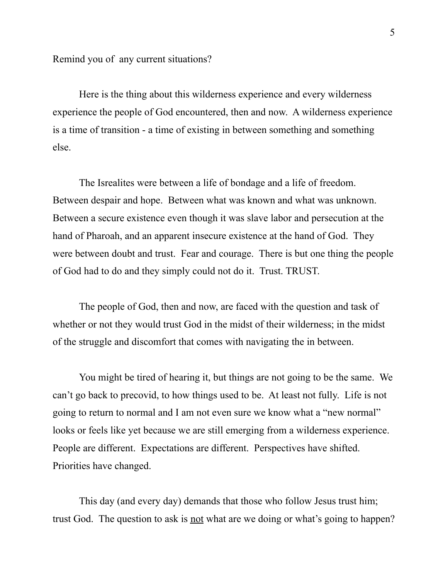Remind you of any current situations?

Here is the thing about this wilderness experience and every wilderness experience the people of God encountered, then and now. A wilderness experience is a time of transition - a time of existing in between something and something else.

The Isrealites were between a life of bondage and a life of freedom. Between despair and hope. Between what was known and what was unknown. Between a secure existence even though it was slave labor and persecution at the hand of Pharoah, and an apparent insecure existence at the hand of God. They were between doubt and trust. Fear and courage. There is but one thing the people of God had to do and they simply could not do it. Trust. TRUST.

The people of God, then and now, are faced with the question and task of whether or not they would trust God in the midst of their wilderness; in the midst of the struggle and discomfort that comes with navigating the in between.

You might be tired of hearing it, but things are not going to be the same. We can't go back to precovid, to how things used to be. At least not fully. Life is not going to return to normal and I am not even sure we know what a "new normal" looks or feels like yet because we are still emerging from a wilderness experience. People are different. Expectations are different. Perspectives have shifted. Priorities have changed.

This day (and every day) demands that those who follow Jesus trust him; trust God. The question to ask is <u>not</u> what are we doing or what's going to happen?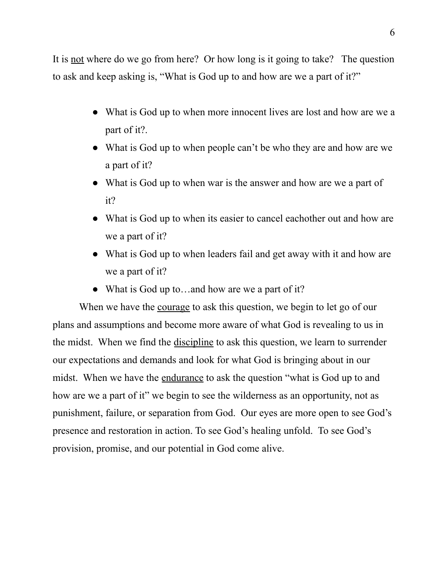It is not where do we go from here? Or how long is it going to take? The question to ask and keep asking is, "What is God up to and how are we a part of it?"

- What is God up to when more innocent lives are lost and how are we a part of it?.
- What is God up to when people can't be who they are and how are we a part of it?
- What is God up to when war is the answer and how are we a part of it?
- What is God up to when its easier to cancel eachother out and how are we a part of it?
- What is God up to when leaders fail and get away with it and how are we a part of it?
- What is God up to...and how are we a part of it?

When we have the courage to ask this question, we begin to let go of our plans and assumptions and become more aware of what God is revealing to us in the midst. When we find the discipline to ask this question, we learn to surrender our expectations and demands and look for what God is bringing about in our midst. When we have the <u>endurance</u> to ask the question "what is God up to and how are we a part of it" we begin to see the wilderness as an opportunity, not as punishment, failure, or separation from God. Our eyes are more open to see God's presence and restoration in action. To see God's healing unfold. To see God's provision, promise, and our potential in God come alive.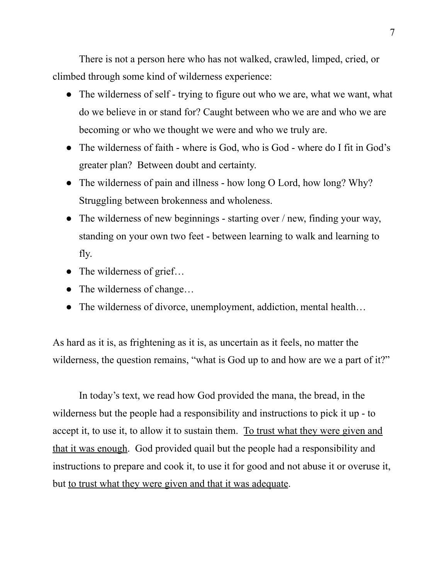There is not a person here who has not walked, crawled, limped, cried, or climbed through some kind of wilderness experience:

- The wilderness of self trying to figure out who we are, what we want, what do we believe in or stand for? Caught between who we are and who we are becoming or who we thought we were and who we truly are.
- The wilderness of faith where is God, who is God where do I fit in God's greater plan? Between doubt and certainty.
- The wilderness of pain and illness how long O Lord, how long? Why? Struggling between brokenness and wholeness.
- The wilderness of new beginnings starting over / new, finding your way, standing on your own two feet - between learning to walk and learning to fly.
- $\bullet$  The wilderness of grief...
- The wilderness of change...
- The wilderness of divorce, unemployment, addiction, mental health...

As hard as it is, as frightening as it is, as uncertain as it feels, no matter the wilderness, the question remains, "what is God up to and how are we a part of it?"

In today's text, we read how God provided the mana, the bread, in the wilderness but the people had a responsibility and instructions to pick it up - to accept it, to use it, to allow it to sustain them. To trust what they were given and that it was enough. God provided quail but the people had a responsibility and instructions to prepare and cook it, to use it for good and not abuse it or overuse it, but <u>to trust what they were given and that it was adequate</u>.